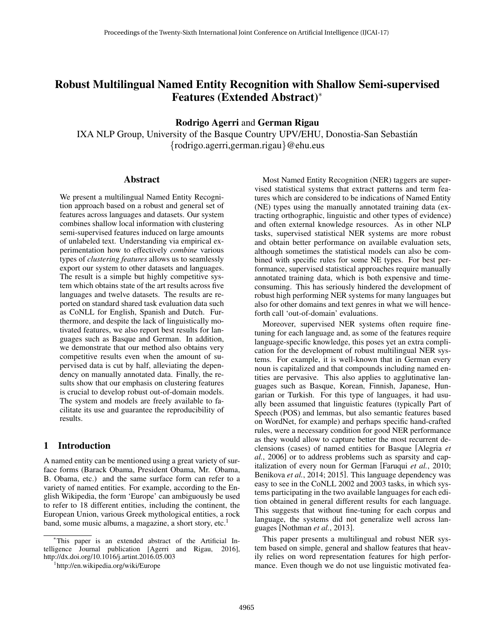# Robust Multilingual Named Entity Recognition with Shallow Semi-supervised Features (Extended Abstract)<sup>∗</sup>

Rodrigo Agerri and German Rigau

IXA NLP Group, University of the Basque Country UPV/EHU, Donostia-San Sebastian´ {rodrigo.agerri,german.rigau}@ehu.eus

#### Abstract

We present a multilingual Named Entity Recognition approach based on a robust and general set of features across languages and datasets. Our system combines shallow local information with clustering semi-supervised features induced on large amounts of unlabeled text. Understanding via empirical experimentation how to effectively *combine* various types of *clustering features* allows us to seamlessly export our system to other datasets and languages. The result is a simple but highly competitive system which obtains state of the art results across five languages and twelve datasets. The results are reported on standard shared task evaluation data such as CoNLL for English, Spanish and Dutch. Furthermore, and despite the lack of linguistically motivated features, we also report best results for languages such as Basque and German. In addition, we demonstrate that our method also obtains very competitive results even when the amount of supervised data is cut by half, alleviating the dependency on manually annotated data. Finally, the results show that our emphasis on clustering features is crucial to develop robust out-of-domain models. The system and models are freely available to facilitate its use and guarantee the reproducibility of results.

#### 1 Introduction

A named entity can be mentioned using a great variety of surface forms (Barack Obama, President Obama, Mr. Obama, B. Obama, etc.) and the same surface form can refer to a variety of named entities. For example, according to the English Wikipedia, the form 'Europe' can ambiguously be used to refer to 18 different entities, including the continent, the European Union, various Greek mythological entities, a rock band, some music albums, a magazine, a short story, etc.<sup>1</sup>

Most Named Entity Recognition (NER) taggers are supervised statistical systems that extract patterns and term features which are considered to be indications of Named Entity (NE) types using the manually annotated training data (extracting orthographic, linguistic and other types of evidence) and often external knowledge resources. As in other NLP tasks, supervised statistical NER systems are more robust and obtain better performance on available evaluation sets, although sometimes the statistical models can also be combined with specific rules for some NE types. For best performance, supervised statistical approaches require manually annotated training data, which is both expensive and timeconsuming. This has seriously hindered the development of robust high performing NER systems for many languages but also for other domains and text genres in what we will henceforth call 'out-of-domain' evaluations.

Moreover, supervised NER systems often require finetuning for each language and, as some of the features require language-specific knowledge, this poses yet an extra complication for the development of robust multilingual NER systems. For example, it is well-known that in German every noun is capitalized and that compounds including named entities are pervasive. This also applies to agglutinative languages such as Basque, Korean, Finnish, Japanese, Hungarian or Turkish. For this type of languages, it had usually been assumed that linguistic features (typically Part of Speech (POS) and lemmas, but also semantic features based on WordNet, for example) and perhaps specific hand-crafted rules, were a necessary condition for good NER performance as they would allow to capture better the most recurrent declensions (cases) of named entities for Basque [Alegria *et al.*, 2006] or to address problems such as sparsity and capitalization of every noun for German [Faruqui *et al.*, 2010; Benikova *et al.*, 2014; 2015]. This language dependency was easy to see in the CoNLL 2002 and 2003 tasks, in which systems participating in the two available languages for each edition obtained in general different results for each language. This suggests that without fine-tuning for each corpus and language, the systems did not generalize well across languages [Nothman *et al.*, 2013].

This paper presents a multilingual and robust NER system based on simple, general and shallow features that heavily relies on word representation features for high performance. Even though we do not use linguistic motivated fea-

<sup>∗</sup>This paper is an extended abstract of the Artificial Intelligence Journal publication [Agerri and Rigau, 2016], http://dx.doi.org/10.1016/j.artint.2016.05.003

<sup>1</sup> http://en.wikipedia.org/wiki/Europe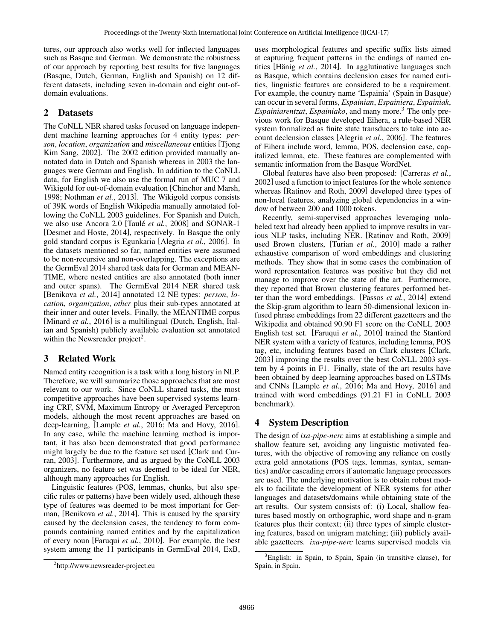tures, our approach also works well for inflected languages such as Basque and German. We demonstrate the robustness of our approach by reporting best results for five languages (Basque, Dutch, German, English and Spanish) on 12 different datasets, including seven in-domain and eight out-ofdomain evaluations.

### 2 Datasets

The CoNLL NER shared tasks focused on language independent machine learning approaches for 4 entity types: *person*, *location*, *organization* and *miscellaneous* entities [Tjong Kim Sang, 2002]. The 2002 edition provided manually annotated data in Dutch and Spanish whereas in 2003 the languages were German and English. In addition to the CoNLL data, for English we also use the formal run of MUC 7 and Wikigold for out-of-domain evaluation [Chinchor and Marsh, 1998; Nothman *et al.*, 2013]. The Wikigold corpus consists of 39K words of English Wikipedia manually annotated following the CoNLL 2003 guidelines. For Spanish and Dutch, we also use Ancora 2.0 [Taulé *et al.*, 2008] and SONAR-1 [Desmet and Hoste, 2014], respectively. In Basque the only gold standard corpus is Egunkaria [Alegria *et al.*, 2006]. In the datasets mentioned so far, named entities were assumed to be non-recursive and non-overlapping. The exceptions are the GermEval 2014 shared task data for German and MEAN-TIME, where nested entities are also annotated (both inner and outer spans). The GermEval 2014 NER shared task [Benikova *et al.*, 2014] annotated 12 NE types: *person*, *location*, *organization*, *other* plus their sub-types annotated at their inner and outer levels. Finally, the MEANTIME corpus [Minard *et al.*, 2016] is a multilingual (Dutch, English, Italian and Spanish) publicly available evaluation set annotated within the Newsreader project<sup>2</sup>.

## 3 Related Work

Named entity recognition is a task with a long history in NLP. Therefore, we will summarize those approaches that are most relevant to our work. Since CoNLL shared tasks, the most competitive approaches have been supervised systems learning CRF, SVM, Maximum Entropy or Averaged Perceptron models, although the most recent approaches are based on deep-learning, [Lample *et al.*, 2016; Ma and Hovy, 2016]. In any case, while the machine learning method is important, it has also been demonstrated that good performance might largely be due to the feature set used [Clark and Curran, 2003]. Furthermore, and as argued by the CoNLL 2003 organizers, no feature set was deemed to be ideal for NER, although many approaches for English.

Linguistic features (POS, lemmas, chunks, but also specific rules or patterns) have been widely used, although these type of features was deemed to be most important for German, [Benikova *et al.*, 2014]. This is caused by the sparsity caused by the declension cases, the tendency to form compounds containing named entities and by the capitalization of every noun [Faruqui *et al.*, 2010]. For example, the best system among the 11 participants in GermEval 2014, ExB, uses morphological features and specific suffix lists aimed at capturing frequent patterns in the endings of named entities [Hänig et al., 2014]. In agglutinative languages such as Basque, which contains declension cases for named entities, linguistic features are considered to be a requirement. For example, the country name 'Espainia' (Spain in Basque) can occur in several forms, *Espainian*, *Espainiera*, *Espainiak*, *Espainiarentzat*, *Espainiako*, and many more.<sup>3</sup> The only previous work for Basque developed Eihera, a rule-based NER system formalized as finite state transducers to take into account declension classes [Alegria *et al.*, 2006]. The features of Eihera include word, lemma, POS, declension case, capitalized lemma, etc. These features are complemented with semantic information from the Basque WordNet.

Global features have also been proposed: [Carreras *et al.*, 2002] used a function to inject features for the whole sentence whereas [Ratinov and Roth, 2009] developed three types of non-local features, analyzing global dependencies in a window of between 200 and 1000 tokens.

Recently, semi-supervised approaches leveraging unlabeled text had already been applied to improve results in various NLP tasks, including NER. [Ratinov and Roth, 2009] used Brown clusters, [Turian *et al.*, 2010] made a rather exhaustive comparison of word embeddings and clustering methods. They show that in some cases the combination of word representation features was positive but they did not manage to improve over the state of the art. Furthermore, they reported that Brown clustering features performed better than the word embeddings. [Passos *et al.*, 2014] extend the Skip-gram algorithm to learn 50-dimensional lexicon infused phrase embeddings from 22 different gazetteers and the Wikipedia and obtained 90.90 F1 score on the CoNLL 2003 English test set. [Faruqui *et al.*, 2010] trained the Stanford NER system with a variety of features, including lemma, POS tag, etc, including features based on Clark clusters [Clark, 2003] improving the results over the best CoNLL 2003 system by 4 points in F1. Finally, state of the art results have been obtained by deep learning approaches based on LSTMs and CNNs [Lample *et al.*, 2016; Ma and Hovy, 2016] and trained with word embeddings (91.21 F1 in CoNLL 2003 benchmark).

## 4 System Description

The design of *ixa-pipe-nerc* aims at establishing a simple and shallow feature set, avoiding any linguistic motivated features, with the objective of removing any reliance on costly extra gold annotations (POS tags, lemmas, syntax, semantics) and/or cascading errors if automatic language processors are used. The underlying motivation is to obtain robust models to facilitate the development of NER systems for other languages and datasets/domains while obtaining state of the art results. Our system consists of: (i) Local, shallow features based mostly on orthographic, word shape and n-gram features plus their context; (ii) three types of simple clustering features, based on unigram matching; (iii) publicly available gazetteers. *ixa-pipe-nerc* learns supervised models via

<sup>2</sup> http://www.newsreader-project.eu

<sup>&</sup>lt;sup>3</sup>English: in Spain, to Spain, Spain (in transitive clause), for Spain, in Spain.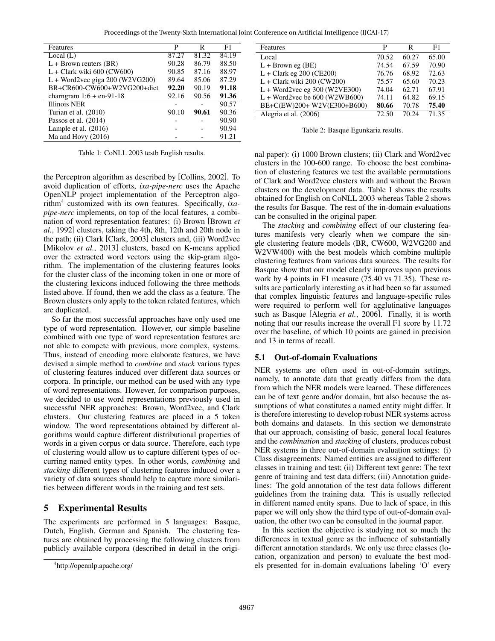Proceedings of the Twenty-Sixth International Joint Conference on Artificial Intelligence (IJCAI-17)

| Features                          | P     | R     | F1    |
|-----------------------------------|-------|-------|-------|
| Local $(L)$                       | 87.27 | 81.32 | 84.19 |
| $L$ + Brown reuters (BR)          | 90.28 | 86.79 | 88.50 |
| $L + Clark$ wiki 600 (CW600)      | 90.85 | 87.16 | 88.97 |
| $L + Word2vec$ giga 200 (W2VG200) | 89.64 | 85.06 | 87.29 |
| BR+CR600-CW600+W2VG200+dict       | 92.20 | 90.19 | 91.18 |
| charngram $1:6 + en-91-18$        | 92.16 | 90.56 | 91.36 |
| <b>Illinois NER</b>               |       |       | 90.57 |
| Turian et al. (2010)              | 90.10 | 90.61 | 90.36 |
| Passos et al. $(2014)$            |       |       | 90.90 |
| Lample et al. $(2016)$            |       |       | 90.94 |
| Ma and Hovy $(2016)$              |       |       | 91.21 |

Table 1: CoNLL 2003 testb English results.

the Perceptron algorithm as described by [Collins, 2002]. To avoid duplication of efforts, *ixa-pipe-nerc* uses the Apache OpenNLP project implementation of the Perceptron algorithm<sup>4</sup> customized with its own features. Specifically, *ixapipe-nerc* implements, on top of the local features, a combination of word representation features: (i) Brown [Brown *et al.*, 1992] clusters, taking the 4th, 8th, 12th and 20th node in the path; (ii) Clark [Clark, 2003] clusters and, (iii) Word2vec [Mikolov *et al.*, 2013] clusters, based on K-means applied over the extracted word vectors using the skip-gram algorithm. The implementation of the clustering features looks for the cluster class of the incoming token in one or more of the clustering lexicons induced following the three methods listed above. If found, then we add the class as a feature. The Brown clusters only apply to the token related features, which are duplicated.

So far the most successful approaches have only used one type of word representation. However, our simple baseline combined with one type of word representation features are not able to compete with previous, more complex, systems. Thus, instead of encoding more elaborate features, we have devised a simple method to *combine* and *stack* various types of clustering features induced over different data sources or corpora. In principle, our method can be used with any type of word representations. However, for comparison purposes, we decided to use word representations previously used in successful NER approaches: Brown, Word2vec, and Clark clusters. Our clustering features are placed in a 5 token window. The word representations obtained by different algorithms would capture different distributional properties of words in a given corpus or data source. Therefore, each type of clustering would allow us to capture different types of occurring named entity types. In other words, *combining* and *stacking* different types of clustering features induced over a variety of data sources should help to capture more similarities between different words in the training and test sets.

### 5 Experimental Results

The experiments are performed in 5 languages: Basque, Dutch, English, German and Spanish. The clustering features are obtained by processing the following clusters from publicly available corpora (described in detail in the origi-

| <b>Features</b>                 | P     | R     | F1    |
|---------------------------------|-------|-------|-------|
| Local                           | 70.52 | 60.27 | 65.00 |
| $L$ + Brown eg (BE)             | 74.54 | 67.59 | 70.90 |
| $L + Clark$ eg 200 (CE200)      | 76.76 | 68.92 | 72.63 |
| $L + Clark$ wiki 200 (CW200)    | 75.57 | 65.60 | 70.23 |
| $L + Word2vec$ eg 300 (W2VE300) | 74.04 | 62.71 | 67.91 |
| $L + Word2vec$ be 600 (W2WB600) | 74.11 | 64.82 | 69.15 |
| BE+C(EW)200+W2V(E300+B600)      | 80.66 | 70.78 | 75.40 |
| Alegria et al. (2006)           | 72.50 | 70.24 | 71.35 |

Table 2: Basque Egunkaria results.

nal paper): (i) 1000 Brown clusters; (ii) Clark and Word2vec clusters in the 100-600 range. To choose the best combination of clustering features we test the available permutations of Clark and Word2vec clusters with and without the Brown clusters on the development data. Table 1 shows the results obtained for English on CoNLL 2003 whereas Table 2 shows the results for Basque. The rest of the in-domain evaluations can be consulted in the original paper.

The *stacking* and *combining* effect of our clustering features manifests very clearly when we compare the single clustering feature models (BR, CW600, W2VG200 and W2VW400) with the best models which combine multiple clustering features from various data sources. The results for Basque show that our model clearly improves upon previous work by 4 points in F1 measure (75.40 vs 71.35). These results are particularly interesting as it had been so far assumed that complex linguistic features and language-specific rules were required to perform well for agglutinative languages such as Basque [Alegria *et al.*, 2006]. Finally, it is worth noting that our results increase the overall F1 score by 11.72 over the baseline, of which 10 points are gained in precision and 13 in terms of recall.

#### 5.1 Out-of-domain Evaluations

NER systems are often used in out-of-domain settings, namely, to annotate data that greatly differs from the data from which the NER models were learned. These differences can be of text genre and/or domain, but also because the assumptions of what constitutes a named entity might differ. It is therefore interesting to develop robust NER systems across both domains and datasets. In this section we demonstrate that our approach, consisting of basic, general local features and the *combination* and *stacking* of clusters, produces robust NER systems in three out-of-domain evaluation settings: (i) Class disagreements: Named entities are assigned to different classes in training and test; (ii) Different text genre: The text genre of training and test data differs; (iii) Annotation guidelines: The gold annotation of the test data follows different guidelines from the training data. This is usually reflected in different named entity spans. Due to lack of space, in this paper we will only show the third type of out-of-domain evaluation, the other two can be consulted in the journal paper.

In this section the objective is studying not so much the differences in textual genre as the influence of substantially different annotation standards. We only use three classes (location, organization and person) to evaluate the best models presented for in-domain evaluations labeling 'O' every

<sup>4</sup> http://opennlp.apache.org/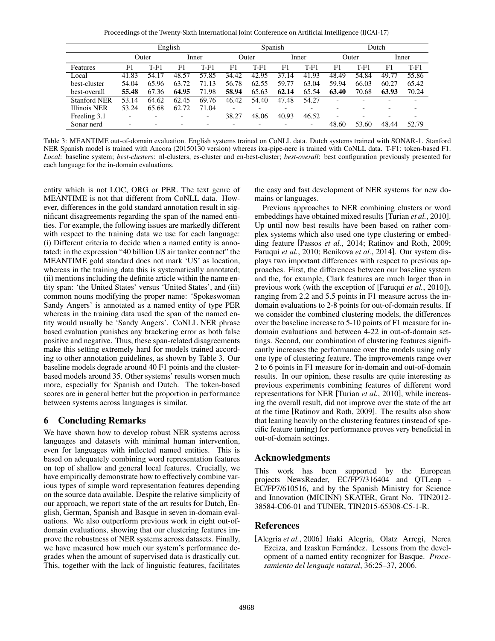Proceedings of the Twenty-Sixth International Joint Conference on Artificial Intelligence (IJCAI-17)

|                     | English |        |       |                | Spanish                  |        |       | Dutch                    |                          |        |                |        |
|---------------------|---------|--------|-------|----------------|--------------------------|--------|-------|--------------------------|--------------------------|--------|----------------|--------|
|                     | Outer   |        |       | Outer<br>Inner |                          |        | Inner |                          | Outer                    |        | Inner          |        |
| Features            | F1      | $T-F1$ | F1    | T-F1           | F1                       | $T-F1$ | F1    | $T-F1$                   | F1                       | $T-F1$ | F <sub>1</sub> | $T-F1$ |
| Local               | 41.83   | 54.17  | 48.57 | 57.85          | 34.42                    | 42.95  | 37.14 | 41.93                    | 48.49                    | 54.84  | 49.77          | 55.86  |
| best-cluster        | 54.04   | 65.96  | 63.72 | 71.13          | 56.78                    | 62.55  | 59.77 | 63.04                    | 59.94                    | 66.03  | 60.27          | 65.42  |
| best-overall        | 55.48   | 67.36  | 64.95 | 71.98          | 58.94                    | 65.63  | 62.14 | 65.54                    | 63.40                    | 70.68  | 63.93          | 70.24  |
| <b>Stanford NER</b> | 53.14   | 64.62  | 62.45 | 69.76          | 46.42                    | 54.40  | 47.48 | 54.27                    | $\overline{\phantom{0}}$ |        |                |        |
| <b>Illinois NER</b> | 53.24   | 65.68  | 62.72 | 71.04          | $\overline{\phantom{a}}$ |        |       |                          |                          |        |                |        |
| Freeling 3.1        |         |        |       | -              | 38.27                    | 48.06  | 40.93 | 46.52                    |                          | -      |                |        |
| Sonar nerd          |         |        |       |                |                          |        |       | $\overline{\phantom{a}}$ | 48.60                    | 53.60  | 48.44          | 52.79  |

Table 3: MEANTIME out-of-domain evaluation. English systems trained on CoNLL data. Dutch systems trained with SONAR-1. Stanford NER Spanish model is trained with Ancora (20150130 version) whereas ixa-pipe-nerc is trained with CoNLL data. T-F1: token-based F1. *Local*: baseline system; *best-clusters*: nl-clusters, es-cluster and en-best-cluster; *best-overall*: best configuration previously presented for each language for the in-domain evaluations.

entity which is not LOC, ORG or PER. The text genre of MEANTIME is not that different from CoNLL data. However, differences in the gold standard annotation result in significant disagreements regarding the span of the named entities. For example, the following issues are markedly different with respect to the training data we use for each language: (i) Different criteria to decide when a named entity is annotated: in the expression "40 billion US air tanker contract" the MEANTIME gold standard does not mark 'US' as location, whereas in the training data this is systematically annotated; (ii) mentions including the definite article within the name entity span: 'the United States' versus 'United States', and (iii) common nouns modifying the proper name: 'Spokeswoman Sandy Angers' is annotated as a named entity of type PER whereas in the training data used the span of the named entity would usually be 'Sandy Angers'. CoNLL NER phrase based evaluation punishes any bracketing error as both false positive and negative. Thus, these span-related disagreements make this setting extremely hard for models trained according to other annotation guidelines, as shown by Table 3. Our baseline models degrade around 40 F1 points and the clusterbased models around 35. Other systems' results worsen much more, especially for Spanish and Dutch. The token-based scores are in general better but the proportion in performance between systems across languages is similar.

## 6 Concluding Remarks

We have shown how to develop robust NER systems across languages and datasets with minimal human intervention, even for languages with inflected named entities. This is based on adequately combining word representation features on top of shallow and general local features. Crucially, we have empirically demonstrate how to effectively combine various types of simple word representation features depending on the source data available. Despite the relative simplicity of our approach, we report state of the art results for Dutch, English, German, Spanish and Basque in seven in-domain evaluations. We also outperform previous work in eight out-ofdomain evaluations, showing that our clustering features improve the robustness of NER systems across datasets. Finally, we have measured how much our system's performance degrades when the amount of supervised data is drastically cut. This, together with the lack of linguistic features, facilitates the easy and fast development of NER systems for new domains or languages.

Previous approaches to NER combining clusters or word embeddings have obtained mixed results [Turian *et al.*, 2010]. Up until now best results have been based on rather complex systems which also used one type clustering or embedding feature [Passos *et al.*, 2014; Ratinov and Roth, 2009; Faruqui *et al.*, 2010; Benikova *et al.*, 2014]. Our system displays two important differences with respect to previous approaches. First, the differences between our baseline system and the, for example, Clark features are much larger than in previous work (with the exception of [Faruqui *et al.*, 2010]), ranging from 2.2 and 5.5 points in F1 measure across the indomain evaluations to 2-8 points for out-of-domain results. If we consider the combined clustering models, the differences over the baseline increase to 5-10 points of F1 measure for indomain evaluations and between 4-22 in out-of-domain settings. Second, our combination of clustering features significantly increases the performance over the models using only one type of clustering feature. The improvements range over 2 to 6 points in F1 measure for in-domain and out-of-domain results. In our opinion, these results are quite interesting as previous experiments combining features of different word representations for NER [Turian *et al.*, 2010], while increasing the overall result, did not improve over the state of the art at the time [Ratinov and Roth, 2009]. The results also show that leaning heavily on the clustering features (instead of specific feature tuning) for performance proves very beneficial in out-of-domain settings.

### Acknowledgments

This work has been supported by the European projects NewsReader, EC/FP7/316404 and QTLeap - EC/FP7/610516, and by the Spanish Ministry for Science and Innovation (MICINN) SKATER, Grant No. TIN2012- 38584-C06-01 and TUNER, TIN2015-65308-C5-1-R.

### References

[Alegria et al., 2006] Iñaki Alegria, Olatz Arregi, Nerea Ezeiza, and Izaskun Fernández. Lessons from the development of a named entity recognizer for Basque. *Procesamiento del lenguaje natural*, 36:25–37, 2006.